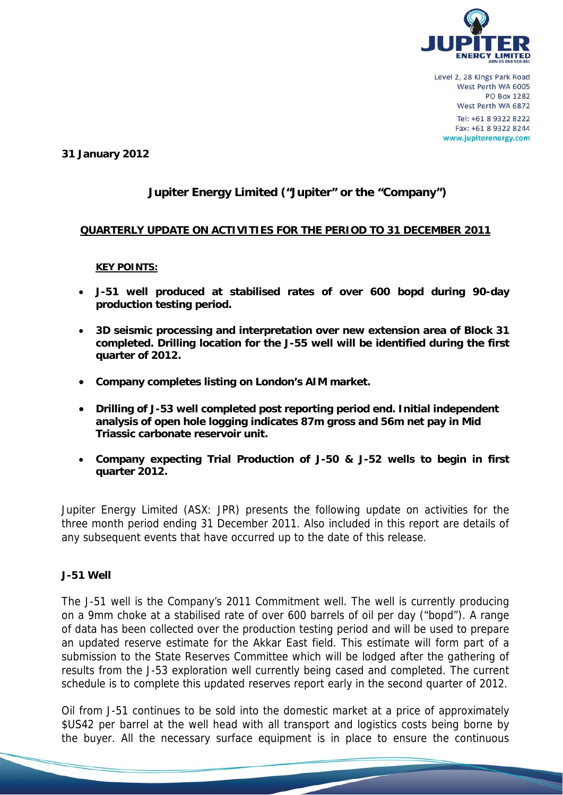

**31 January 2012** 

# **Jupiter Energy Limited ("Jupiter" or the "Company")**

#### **QUARTERLY UPDATE ON ACTIVITIES FOR THE PERIOD TO 31 DECEMBER 2011**

#### **KEY POINTS:**

- **J-51 well produced at stabilised rates of over 600 bopd during 90-day production testing period.**
- **3D seismic processing and interpretation over new extension area of Block 31 completed. Drilling location for the J-55 well will be identified during the first quarter of 2012.**
- **Company completes listing on London's AIM market.**
- **Drilling of J-53 well completed post reporting period end. Initial independent analysis of open hole logging indicates 87m gross and 56m net pay in Mid Triassic carbonate reservoir unit.**
- **Company expecting Trial Production of J-50 & J-52 wells to begin in first quarter 2012.**

Jupiter Energy Limited (ASX: JPR) presents the following update on activities for the three month period ending 31 December 2011. Also included in this report are details of any subsequent events that have occurred up to the date of this release.

#### **J-51 Well**

The J-51 well is the Company's 2011 Commitment well. The well is currently producing on a 9mm choke at a stabilised rate of over 600 barrels of oil per day ("bopd"). A range of data has been collected over the production testing period and will be used to prepare an updated reserve estimate for the Akkar East field. This estimate will form part of a submission to the State Reserves Committee which will be lodged after the gathering of results from the J-53 exploration well currently being cased and completed. The current schedule is to complete this updated reserves report early in the second quarter of 2012.

Oil from J-51 continues to be sold into the domestic market at a price of approximately \$US42 per barrel at the well head with all transport and logistics costs being borne by the buyer. All the necessary surface equipment is in place to ensure the continuous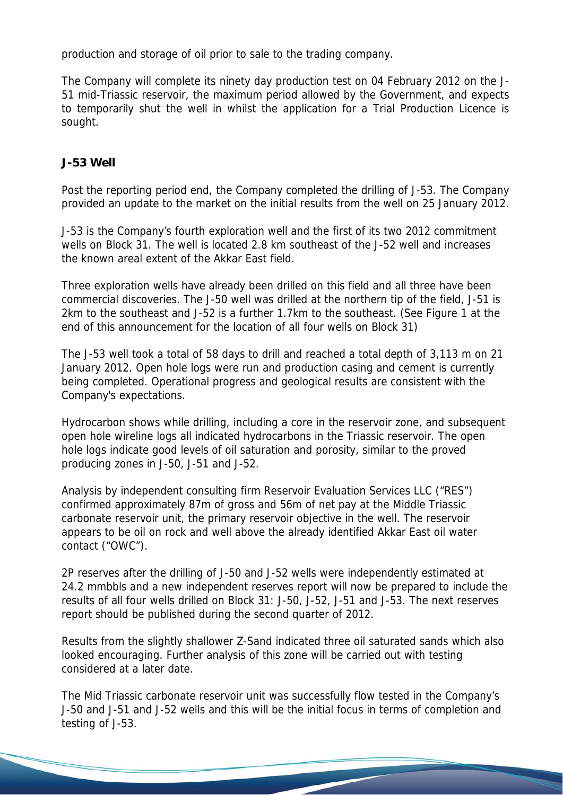production and storage of oil prior to sale to the trading company.

The Company will complete its ninety day production test on 04 February 2012 on the J-51 mid-Triassic reservoir, the maximum period allowed by the Government, and expects to temporarily shut the well in whilst the application for a Trial Production Licence is sought.

# **J-53 Well**

Post the reporting period end, the Company completed the drilling of J-53. The Company provided an update to the market on the initial results from the well on 25 January 2012.

J-53 is the Company's fourth exploration well and the first of its two 2012 commitment wells on Block 31. The well is located 2.8 km southeast of the J-52 well and increases the known areal extent of the Akkar East field.

Three exploration wells have already been drilled on this field and all three have been commercial discoveries. The J-50 well was drilled at the northern tip of the field, J-51 is 2km to the southeast and J-52 is a further 1.7km to the southeast. (See Figure 1 at the end of this announcement for the location of all four wells on Block 31)

The J-53 well took a total of 58 days to drill and reached a total depth of 3,113 m on 21 January 2012. Open hole logs were run and production casing and cement is currently being completed. Operational progress and geological results are consistent with the Company's expectations.

Hydrocarbon shows while drilling, including a core in the reservoir zone, and subsequent open hole wireline logs all indicated hydrocarbons in the Triassic reservoir. The open hole logs indicate good levels of oil saturation and porosity, similar to the proved producing zones in J-50, J-51 and J-52.

Analysis by independent consulting firm Reservoir Evaluation Services LLC ("RES") confirmed approximately 87m of gross and 56m of net pay at the Middle Triassic carbonate reservoir unit, the primary reservoir objective in the well. The reservoir appears to be oil on rock and well above the already identified Akkar East oil water contact ("OWC").

2P reserves after the drilling of J-50 and J-52 wells were independently estimated at 24.2 mmbbls and a new independent reserves report will now be prepared to include the results of all four wells drilled on Block 31: J-50, J-52, J-51 and J-53. The next reserves report should be published during the second quarter of 2012.

Results from the slightly shallower Z-Sand indicated three oil saturated sands which also looked encouraging. Further analysis of this zone will be carried out with testing considered at a later date.

The Mid Triassic carbonate reservoir unit was successfully flow tested in the Company's J-50 and J-51 and J-52 wells and this will be the initial focus in terms of completion and testing of J-53.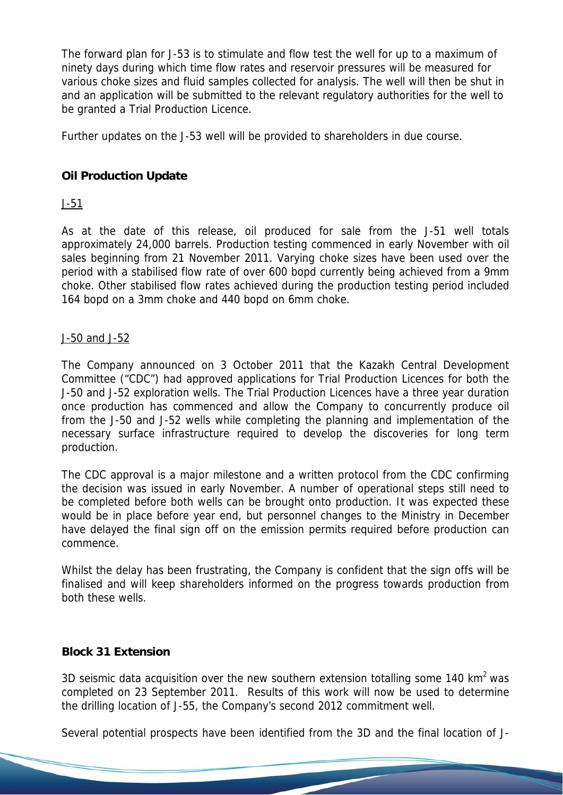The forward plan for J-53 is to stimulate and flow test the well for up to a maximum of ninety days during which time flow rates and reservoir pressures will be measured for various choke sizes and fluid samples collected for analysis. The well will then be shut in and an application will be submitted to the relevant regulatory authorities for the well to be granted a Trial Production Licence.

Further updates on the J-53 well will be provided to shareholders in due course.

# **Oil Production Update**

## J-51

As at the date of this release, oil produced for sale from the J-51 well totals approximately 24,000 barrels. Production testing commenced in early November with oil sales beginning from 21 November 2011. Varying choke sizes have been used over the period with a stabilised flow rate of over 600 bopd currently being achieved from a 9mm choke. Other stabilised flow rates achieved during the production testing period included 164 bopd on a 3mm choke and 440 bopd on 6mm choke.

### J-50 and J-52

The Company announced on 3 October 2011 that the Kazakh Central Development Committee ("CDC") had approved applications for Trial Production Licences for both the J-50 and J-52 exploration wells. The Trial Production Licences have a three year duration once production has commenced and allow the Company to concurrently produce oil from the J-50 and J-52 wells while completing the planning and implementation of the necessary surface infrastructure required to develop the discoveries for long term production.

The CDC approval is a major milestone and a written protocol from the CDC confirming the decision was issued in early November. A number of operational steps still need to be completed before both wells can be brought onto production. It was expected these would be in place before year end, but personnel changes to the Ministry in December have delayed the final sign off on the emission permits required before production can commence.

Whilst the delay has been frustrating, the Company is confident that the sign offs will be finalised and will keep shareholders informed on the progress towards production from both these wells.

### **Block 31 Extension**

3D seismic data acquisition over the new southern extension totalling some 140 km<sup>2</sup> was completed on 23 September 2011. Results of this work will now be used to determine the drilling location of J-55, the Company's second 2012 commitment well.

Several potential prospects have been identified from the 3D and the final location of J-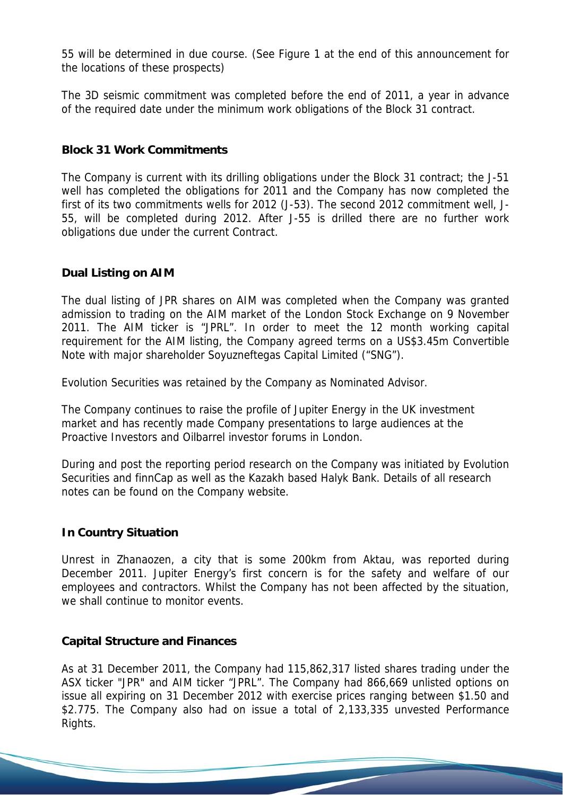55 will be determined in due course. (See Figure 1 at the end of this announcement for the locations of these prospects)

The 3D seismic commitment was completed before the end of 2011, a year in advance of the required date under the minimum work obligations of the Block 31 contract.

## **Block 31 Work Commitments**

The Company is current with its drilling obligations under the Block 31 contract; the J-51 well has completed the obligations for 2011 and the Company has now completed the first of its two commitments wells for 2012 (J-53). The second 2012 commitment well, J-55, will be completed during 2012. After J-55 is drilled there are no further work obligations due under the current Contract.

## **Dual Listing on AIM**

The dual listing of JPR shares on AIM was completed when the Company was granted admission to trading on the AIM market of the London Stock Exchange on 9 November 2011. The AIM ticker is "JPRL". In order to meet the 12 month working capital requirement for the AIM listing, the Company agreed terms on a US\$3.45m Convertible Note with major shareholder Soyuzneftegas Capital Limited ("SNG").

Evolution Securities was retained by the Company as Nominated Advisor.

The Company continues to raise the profile of Jupiter Energy in the UK investment market and has recently made Company presentations to large audiences at the Proactive Investors and Oilbarrel investor forums in London.

During and post the reporting period research on the Company was initiated by Evolution Securities and finnCap as well as the Kazakh based Halyk Bank. Details of all research notes can be found on the Company website.

# **In Country Situation**

Unrest in Zhanaozen, a city that is some 200km from Aktau, was reported during December 2011. Jupiter Energy's first concern is for the safety and welfare of our employees and contractors. Whilst the Company has not been affected by the situation, we shall continue to monitor events.

# **Capital Structure and Finances**

As at 31 December 2011, the Company had 115,862,317 listed shares trading under the ASX ticker "JPR" and AIM ticker "JPRL". The Company had 866,669 unlisted options on issue all expiring on 31 December 2012 with exercise prices ranging between \$1.50 and \$2.775. The Company also had on issue a total of 2,133,335 unvested Performance Rights.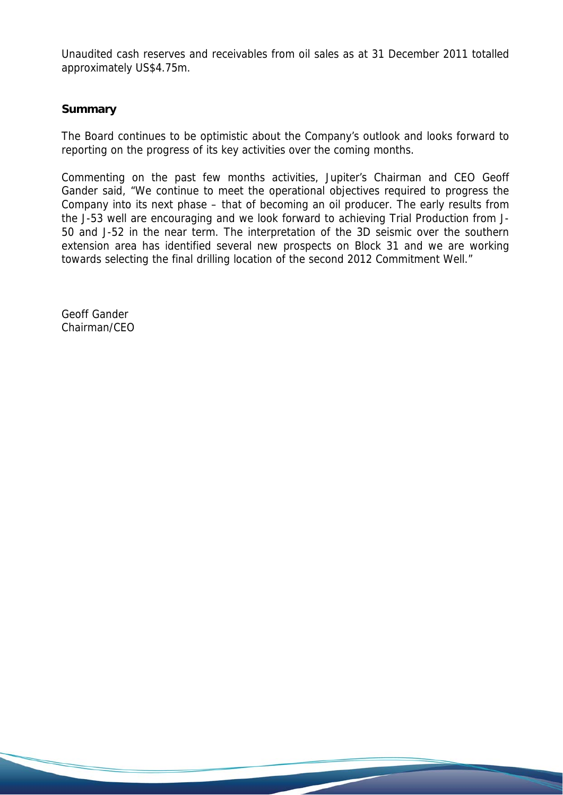Unaudited cash reserves and receivables from oil sales as at 31 December 2011 totalled approximately US\$4.75m.

## **Summary**

The Board continues to be optimistic about the Company's outlook and looks forward to reporting on the progress of its key activities over the coming months.

Commenting on the past few months activities, Jupiter's Chairman and CEO Geoff Gander said, "We continue to meet the operational objectives required to progress the Company into its next phase – that of becoming an oil producer. The early results from the J-53 well are encouraging and we look forward to achieving Trial Production from J-50 and J-52 in the near term. The interpretation of the 3D seismic over the southern extension area has identified several new prospects on Block 31 and we are working towards selecting the final drilling location of the second 2012 Commitment Well."

Geoff Gander Chairman/CEO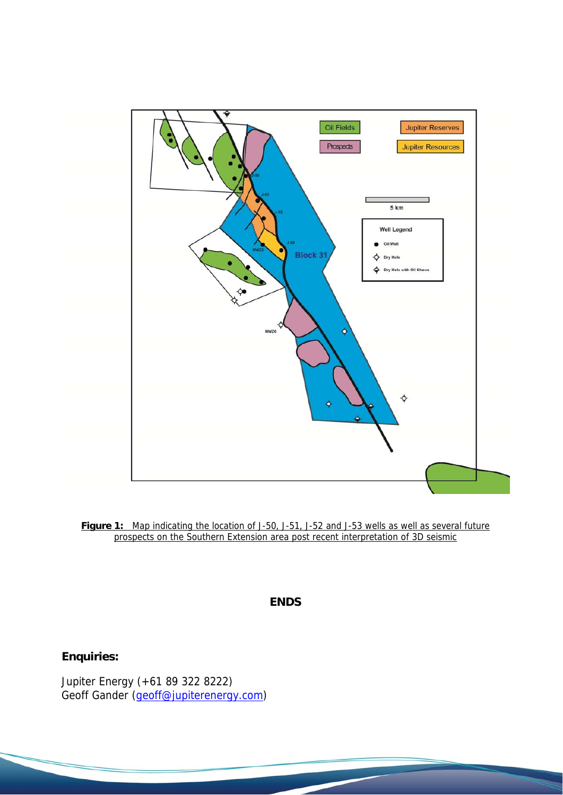



**ENDS** 

**Enquiries:** 

Jupiter Energy (+61 89 322 8222) Geoff Gander (*geoff@jupiterenergy.com*)